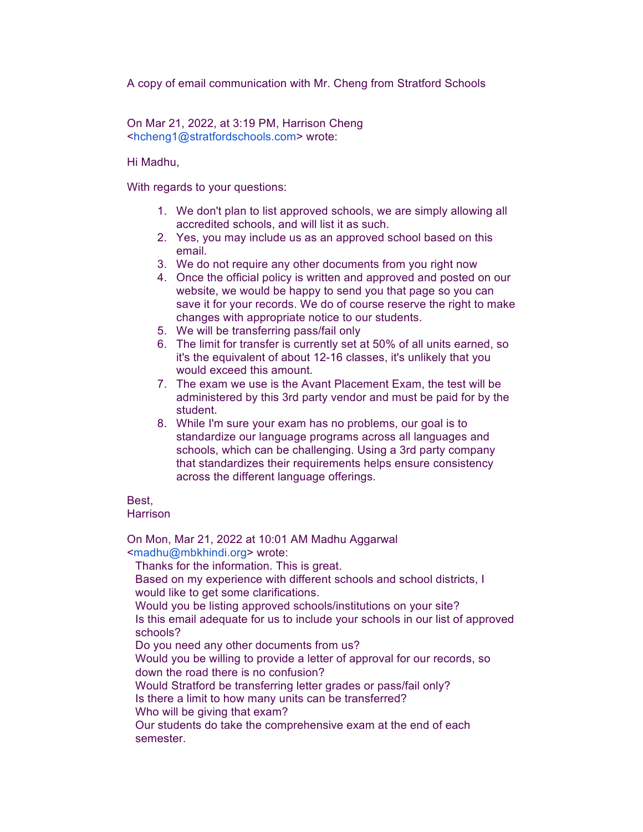A copy of email communication with Mr. Cheng from Stratford Schools

On Mar 21, 2022, at 3:19 PM, Harrison Cheng <hcheng1@stratfordschools.com> wrote:

Hi Madhu,

With regards to your questions:

- 1. We don't plan to list approved schools, we are simply allowing all accredited schools, and will list it as such.
- 2. Yes, you may include us as an approved school based on this email.
- 3. We do not require any other documents from you right now
- 4. Once the official policy is written and approved and posted on our website, we would be happy to send you that page so you can save it for your records. We do of course reserve the right to make changes with appropriate notice to our students.
- 5. We will be transferring pass/fail only
- 6. The limit for transfer is currently set at 50% of all units earned, so it's the equivalent of about 12-16 classes, it's unlikely that you would exceed this amount.
- 7. The exam we use is the Avant Placement Exam, the test will be administered by this 3rd party vendor and must be paid for by the student.
- 8. While I'm sure your exam has no problems, our goal is to standardize our language programs across all languages and schools, which can be challenging. Using a 3rd party company that standardizes their requirements helps ensure consistency across the different language offerings.

## **Best** Harrison

On Mon, Mar 21, 2022 at 10:01 AM Madhu Aggarwal <madhu@mbkhindi.org> wrote:

Thanks for the information. This is great.

Based on my experience with different schools and school districts, I would like to get some clarifications.

Would you be listing approved schools/institutions on your site?

Is this email adequate for us to include your schools in our list of approved schools?

Do you need any other documents from us?

Would you be willing to provide a letter of approval for our records, so down the road there is no confusion?

Would Stratford be transferring letter grades or pass/fail only?

Is there a limit to how many units can be transferred?

Who will be giving that exam?

Our students do take the comprehensive exam at the end of each semester.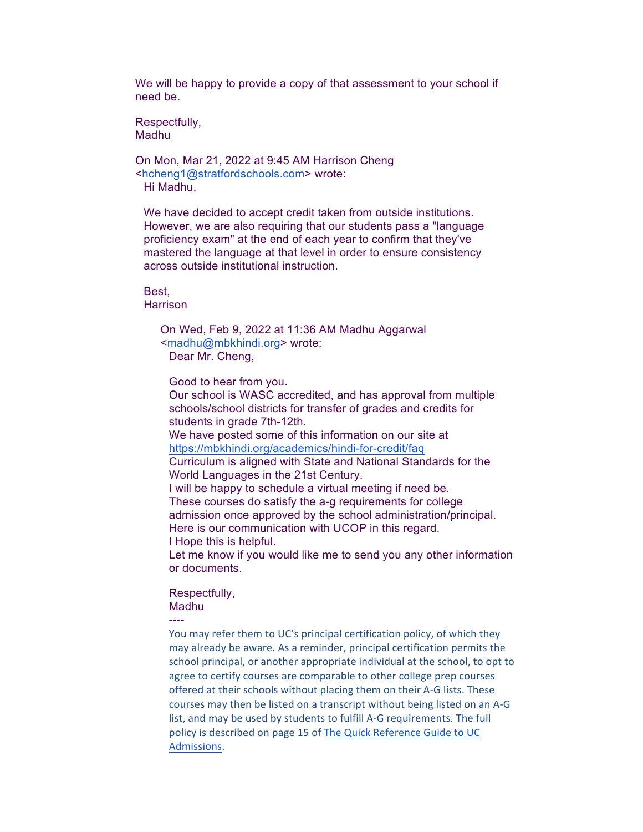We will be happy to provide a copy of that assessment to your school if need be.

Respectfully, Madhu

On Mon, Mar 21, 2022 at 9:45 AM Harrison Cheng <hcheng1@stratfordschools.com> wrote: Hi Madhu,

We have decided to accept credit taken from outside institutions. However, we are also requiring that our students pass a "language proficiency exam" at the end of each year to confirm that they've mastered the language at that level in order to ensure consistency across outside institutional instruction.

Best, **Harrison** 

> On Wed, Feb 9, 2022 at 11:36 AM Madhu Aggarwal <madhu@mbkhindi.org> wrote: Dear Mr. Cheng,

Good to hear from you.

Our school is WASC accredited, and has approval from multiple schools/school districts for transfer of grades and credits for students in grade 7th-12th.

We have posted some of this information on our site at https://mbkhindi.org/academics/hindi-for-credit/faq

Curriculum is aligned with State and National Standards for the World Languages in the 21st Century.

I will be happy to schedule a virtual meeting if need be. These courses do satisfy the a-g requirements for college admission once approved by the school administration/principal. Here is our communication with UCOP in this regard.

I Hope this is helpful.

Let me know if you would like me to send you any other information or documents.

Respectfully, Madhu

----

You may refer them to UC's principal certification policy, of which they may already be aware. As a reminder, principal certification permits the school principal, or another appropriate individual at the school, to opt to agree to certify courses are comparable to other college prep courses offered at their schools without placing them on their A-G lists. These courses may then be listed on a transcript without being listed on an A-G list, and may be used by students to fulfill A-G requirements. The full policy is described on page 15 of The Quick Reference Guide to UC Admissions.